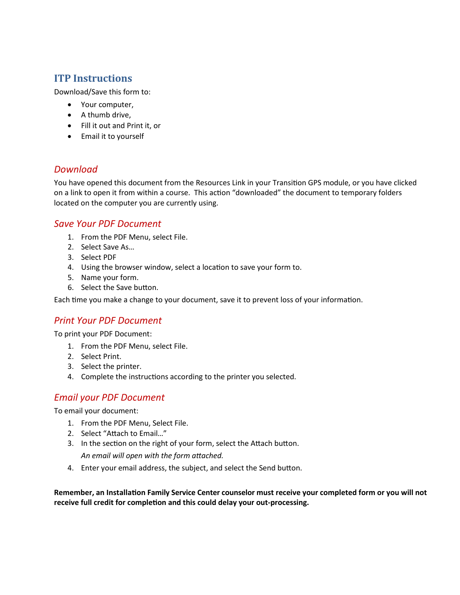# **ITP Instructions**

Download/Save this form to:

- Your computer,
- A thumb drive,
- Fill it out and Print it, or
- Email it to yourself

# *Download*

You have opened this document from the Resources Link in your Transition GPS module, or you have clicked on a link to open it from within a course. This action "downloaded" the document to temporary folders located on the computer you are currently using.

# *Save Your PDF Document*

- 1. From the PDF Menu, select File.
- 2. Select Save As…
- 3. Select PDF
- 4. Using the browser window, select a location to save your form to.
- 5. Name your form.
- 6. Select the Save button.

Each time you make a change to your document, save it to prevent loss of your information.

# *Print Your PDF Document*

To print your PDF Document:

- 1. From the PDF Menu, select File.
- 2. Select Print.
- 3. Select the printer.
- 4. Complete the instructions according to the printer you selected.

# *Email your PDF Document*

To email your document:

- 1. From the PDF Menu, Select File.
- 2. Select "Attach to Email…"
- 3. In the section on the right of your form, select the Attach button. *An email will open with the form attached.*
- 4. Enter your email address, the subject, and select the Send button.

Remember, an Installation Family Service Center counselor must receive your completed form or you will not receive full credit for completion and this could delay your out-processing.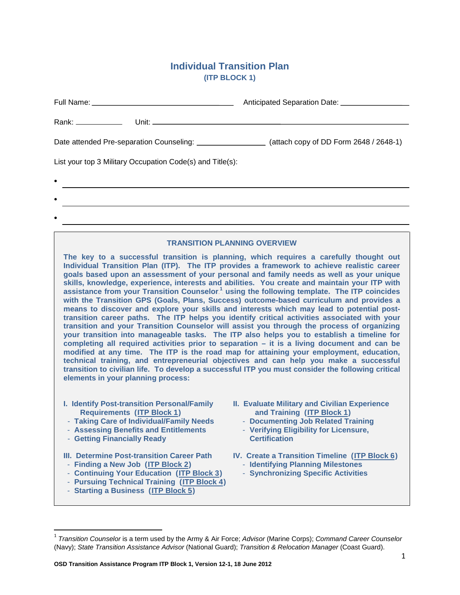# **Individual Transition Plan (ITP BLOCK 1)**

|                                                                                                                                                                                                                             | Anticipated Separation Date: ____________________ |  |
|-----------------------------------------------------------------------------------------------------------------------------------------------------------------------------------------------------------------------------|---------------------------------------------------|--|
|                                                                                                                                                                                                                             |                                                   |  |
| Date attended Pre-separation Counseling: ____________________(attach copy of DD Form 2648 / 2648-1)                                                                                                                         |                                                   |  |
| List your top 3 Military Occupation Code(s) and Title(s):                                                                                                                                                                   |                                                   |  |
| $\bullet$                                                                                                                                                                                                                   |                                                   |  |
| $\bullet$                                                                                                                                                                                                                   |                                                   |  |
| $\bullet$<br>,我们也不会有什么。""我们的人,我们也不会有什么?""我们的人,我们也不会有什么?""我们的人,我们也不会有什么?""我们的人,我们也不会有什么?""我们的人                                                                                                                               |                                                   |  |
|                                                                                                                                                                                                                             |                                                   |  |
| <b>TRANSITION PLANNING OVERVIEW</b><br>The key to a successful transition is planning, which requires a carefully thought out<br>Individual Transition Plan (ITP). The ITP provides a framework to achieve realistic career |                                                   |  |

**goals based upon an assessment of your personal and family needs as well as your unique skills, knowledge, experience, interests and abilities. You create and maintain your ITP with assistance from your Transition Counselor.<sup>1</sup> using the following template. The ITP coincides with the Transition GPS (Goals, Plans, Success) outcome-based curriculum and provides a means to discover and explore your skills and interests which may lead to potential posttransition career paths. The ITP helps you identify critical activities associated with your transition and your Transition Counselor will assist you through the process of organizing your transition into manageable tasks. The ITP also helps you to establish a timeline for completing all required activities prior to separation – it is a living document and can be modified at any time. The ITP is the road map for attaining your employment, education, technical training, and entrepreneurial objectives and can help you make a successful transition to civilian life. To develop a successful ITP you must consider the following critical elements in your planning process:**

- **I. Identify Post-transition Personal/Family Requirements** (ITP Block 1)
- **Taking Care of Individual/Family Needs**
- **Assessing Benefits and Entitlements**
- **Getting Financially Ready**
- **III. Determine Post-transition Career Path**
- **Finding a New Job** (ITP Block 2)
- **Continuing Your Education** (ITP Block 3)
- **Pursuing Technical Training (**U**ITP Block 4**U**)**
- **Starting a Business** (ITP Block 5)
- **II. Evaluate Military and Civilian Experience and Training (ITP Block 1)** 
	- **Documenting Job Related Training**
	- **Verifying Eligibility for Licensure, Certification**
- **IV. Create a Transition Timeline (ITP Block 6)** 
	- **Identifying Planning Milestones**
	- **Synchronizing Specific Activities**

 <sup>1</sup> *Transition Counselor* is a term used by the Army & Air Force; *Advisor* (Marine Corps); *Command Career Counselor* (Navy); *State Transition Assistance Advisor* (National Guard); *Transition & Relocation Manager* (Coast Guard).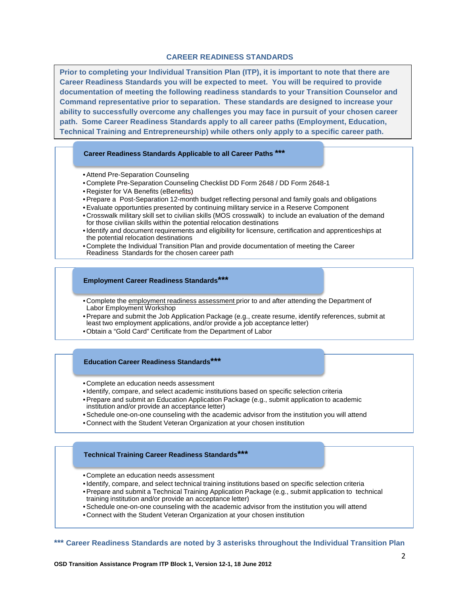#### **CAREER READINESS STANDARDS**

**Prior to completing your Individual Transition Plan (ITP), it is important to note that there are Career Readiness Standards you will be expected to meet. You will be required to provide documentation of meeting the following readiness standards to your Transition Counselor and Command representative prior to separation. These standards are designed to increase your ability to successfully overcome any challenges you may face in pursuit of your chosen career path. Some Career Readiness Standards apply to all career paths (Employment, Education, Technical Training and Entrepreneurship) while others only apply to a specific career path.**

#### **Career Readiness Standards Applicable to all Career Paths \*\*\***

- •Attend Pre-Separation Counseling
- Complete Pre-Separation Counseling Checklist DD Form 2648 / DD Form 2648-1
- Register for VA Benefits (eBenefits)
- •Prepare a Post-Separation 12-month budget reflecting personal and family goals and obligations
- •Evaluate opportunties presented by continuing military service in a Reserve Component
- Crosswalk military skill set to civilian skills (MOS crosswalk) to include an evaluation of the demand for those civilian skills within the potential relocation destinations
- •Identify and document requirements and eligibility for licensure, certification and apprenticeships at the potential relocation destinations
- Complete the Individual Transition Plan and provide documentation of meeting the Career Readiness Standards for the chosen career path

#### **Employment Career Readiness Standards\*\*\***

- Complete the employment readiness assessment prior to and after attending the Department of Labor Employment Workshop
- •Prepare and submit the Job Application Package (e.g., create resume, identify references, submit at least two employment applications, and/or provide a job acceptance letter)
- Obtain a "Gold Card" Certificate from the Department of Labor

#### **Education Career Readiness Standards\*\*\***

- Complete an education needs assessment
- •Identify, compare, and select academic institutions based on specific selection criteria
- •Prepare and submit an Education Application Package (e.g., submit application to academic institution and/or provide an acceptance letter)
- •Schedule one-on-one counseling with the academic advisor from the institution you will attend
- Connect with the Student Veteran Organization at your chosen institution

### **Technical Training Career Readiness Standards\*\*\***

- Complete an education needs assessment
- •Identify, compare, and select technical training institutions based on specific selection criteria
- •Prepare and submit a Technical Training Application Package (e.g., submit application to technical training institution and/or provide an acceptance letter)
- •Schedule one-on-one counseling with the academic advisor from the institution you will attend
- Connect with the Student Veteran Organization at your chosen institution
- **\*\*\* Career Readiness Standards are noted by 3 asterisks throughout the Individual Transition Plan**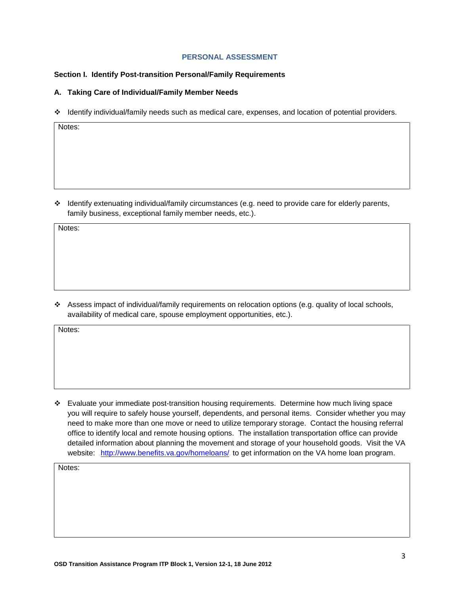#### **PERSONAL ASSESSMENT**

#### **Section I. Identify Post-transition Personal/Family Requirements**

### **A. Taking Care of Individual/Family Member Needs**

Identify individual/family needs such as medical care, expenses, and location of potential providers.

Notes:

 $\cdot$  Identify extenuating individual/family circumstances (e.g. need to provide care for elderly parents, family business, exceptional family member needs, etc.).

Notes:

 $\bullet$  Assess impact of individual/family requirements on relocation options (e.g. quality of local schools, availability of medical care, spouse employment opportunities, etc.).

Notes:

 Evaluate your immediate post-transition housing requirements. Determine how much living space you will require to safely house yourself, dependents, and personal items. Consider whether you may need to make more than one move or need to utilize temporary storage. Contact the housing referral office to identify local and remote housing options. The installation transportation office can provide detailed information about planning the movement and storage of your household goods. Visit the VA website: .<http://www.benefits.va.gov/homeloans/> to get information on the VA home loan program.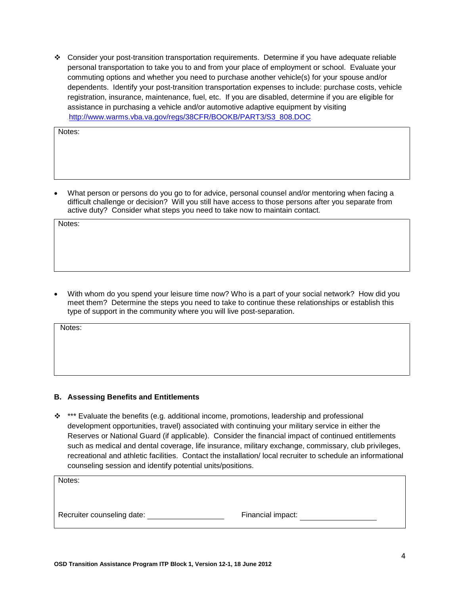Consider your post-transition transportation requirements. Determine if you have adequate reliable personal transportation to take you to and from your place of employment or school. Evaluate your commuting options and whether you need to purchase another vehicle(s) for your spouse and/or dependents. Identify your post-transition transportation expenses to include: purchase costs, vehicle registration, insurance, maintenance, fuel, etc. If you are disabled, determine if you are eligible for assistance in purchasing a vehicle and/or automotive adaptive equipment by visiting [http://www.warms.vba.va.gov/regs/38CFR/BOOKB/PART3/S3\\_808.DOC](http://www.warms.vba.va.gov/regs/38CFR/BOOKB/PART3/S3_808.DOC)

Notes:

• What person or persons do you go to for advice, personal counsel and/or mentoring when facing a difficult challenge or decision? Will you still have access to those persons after you separate from active duty? Consider what steps you need to take now to maintain contact.

Notes:

• With whom do you spend your leisure time now? Who is a part of your social network? How did you meet them? Determine the steps you need to take to continue these relationships or establish this type of support in the community where you will live post-separation.

Notes:

### **B. Assessing Benefits and Entitlements**

 $*$  \*\*\* Evaluate the benefits (e.g. additional income, promotions, leadership and professional development opportunities, travel) associated with continuing your military service in either the Reserves or National Guard (if applicable). Consider the financial impact of continued entitlements such as medical and dental coverage, life insurance, military exchange, commissary, club privileges, recreational and athletic facilities. Contact the installation/ local recruiter to schedule an informational counseling session and identify potential units/positions.

Notes:

Recruiter counseling date: Financial impact: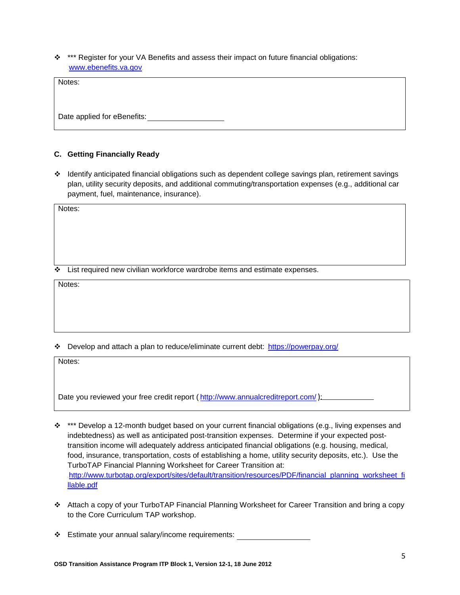\*\*\* Register for your VA Benefits and assess their impact on future financial obligations: [www.ebenefits.va.gov](http://www.ebenefits.va.gov/).

Notes:

Date applied for eBenefits:

## **C. Getting Financially Ready**

 $\div$  Identify anticipated financial obligations such as dependent college savings plan, retirement savings plan, utility security deposits, and additional commuting/transportation expenses (e.g., additional car payment, fuel, maintenance, insurance).

Notes:

 $\div$  List required new civilian workforce wardrobe items and estimate expenses.

Notes:

 $\div$  Develop and attach a plan to reduce/eliminate current debt: .<https://powerpay.org/>.

Notes:

Date you reviewed your free credit report (<http://www.annualcreditreport.com/>.):

- \* \*\*\* Develop a 12-month budget based on your current financial obligations (e.g., living expenses and indebtedness) as well as anticipated post-transition expenses. Determine if your expected posttransition income will adequately address anticipated financial obligations (e.g. housing, medical, food, insurance, transportation, costs of establishing a home, utility security deposits, etc.). Use the TurboTAP Financial Planning Worksheet for Career Transition at: .[http://www.turbotap.org/export/sites/default/transition/resources/PDF/financial\\_planning\\_worksheet\\_fi](http://www.turbotap.org/export/sites/default/transition/resources/PDF/financial_planning_worksheet_fillable.pdf) [llable.pdf](http://www.turbotap.org/export/sites/default/transition/resources/PDF/financial_planning_worksheet_fillable.pdf)
- Attach a copy of your TurboTAP Financial Planning Worksheet for Career Transition and bring a copy to the Core Curriculum TAP workshop.
- Estimate your annual salary/income requirements: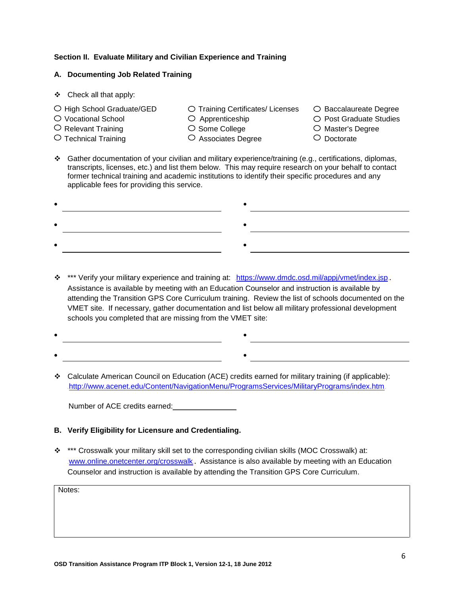## **Section II. Evaluate Military and Civilian Experience and Training**

## **A. Documenting Job Related Training**

- Check all that apply:
- $\bigcirc$  High School Graduate/GED  $\bigcirc$  Training Certificates/ Licenses  $\bigcirc$  Baccalaureate Degree
	-
	-
- $\cup$  Relevant Training  $\hskip1cm \cup$  Some College  $\hskip1cm \cup$  Master's Degree
- $\cup$  Technical Training  $\qquad \qquad \cup$  Associates Degree  $\qquad \qquad \cup$  Doctorate
- -
- 
- O Vocational School  $\bigcirc$  Apprenticeship  $\bigcirc$  Post Graduate Studies
	-
	-

<u> 1989 - Johann Barn, mars eta bainar eta idazlea (</u>

 Gather documentation of your civilian and military experience/training (e.g., certifications, diplomas, transcripts, licenses, etc.) and list them below. This may require research on your behalf to contact former technical training and academic institutions to identify their specific procedures and any applicable fees for providing this service.

- \*\*\* Verify your military experience and training at: <https://www.dmdc.osd.mil/appj/vmet/index.jsp>. Assistance is available by meeting with an Education Counselor and instruction is available by attending the Transition GPS Core Curriculum training. Review the list of schools documented on the VMET site. If necessary, gather documentation and list below all military professional development schools you completed that are missing from the VMET site:
- •
- •
- Calculate American Council on Education (ACE) credits earned for military training (if applicable): .<http://www.acenet.edu/Content/NavigationMenu/ProgramsServices/MilitaryPrograms/index.htm>.

Number of ACE credits earned:<br>
Number of ACE credits earned:

- **B. Verify Eligibility for Licensure and Credentialing.**
- \*\*\*\* Crosswalk your military skill set to the corresponding civilian skills (MOC Crosswalk) at: [www.online.onetcenter.org/crosswalk](http://www.online.onetcenter.org/crosswalk). Assistance is also available by meeting with an Education Counselor and instruction is available by attending the Transition GPS Core Curriculum.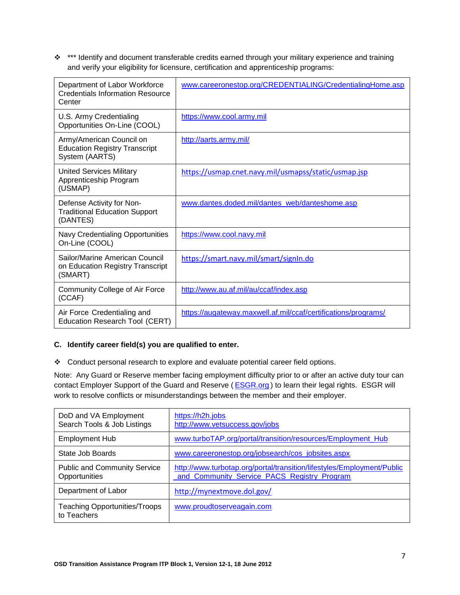\*\*\*\* Identify and document transferable credits earned through your military experience and training and verify your eligibility for licensure, certification and apprenticeship programs:

| Department of Labor Workforce<br><b>Credentials Information Resource</b><br>Center | www.careeronestop.org/CREDENTIALING/CredentialingHome.asp.     |
|------------------------------------------------------------------------------------|----------------------------------------------------------------|
| U.S. Army Credentialing<br>Opportunities On-Line (COOL)                            | https://www.cool.army.mil.                                     |
| Army/American Council on<br><b>Education Registry Transcript</b><br>System (AARTS) | http://aarts.army.mil/                                         |
| <b>United Services Military</b><br>Apprenticeship Program<br>(USMAP)               | https://usmap.cnet.navy.mil/usmapss/static/usmap.jsp           |
| Defense Activity for Non-<br><b>Traditional Education Support</b><br>(DANTES)      | www.dantes.doded.mil/dantes_web/danteshome.asp                 |
| Navy Credentialing Opportunities<br>On-Line (COOL)                                 | https://www.cool.navy.mil                                      |
| Sailor/Marine American Council<br>on Education Registry Transcript<br>(SMART)      | https://smart.navy.mil/smart/signIn.do                         |
| <b>Community College of Air Force</b><br>(CCAF)                                    | http://www.au.af.mil/au/ccaf/index.asp                         |
| Air Force Credentialing and<br>Education Research Tool (CERT)                      | https://augateway.maxwell.af.mil/ccaf/certifications/programs/ |

## **C. Identify career field(s) you are qualified to enter.**

\* Conduct personal research to explore and evaluate potential career field options.

Note: Any Guard or Reserve member facing employment difficulty prior to or after an active duty tour can contact Employer Support of the Guard and Reserve (**ESGR.org**) to learn their legal rights. ESGR will work to resolve conflicts or misunderstandings between the member and their employer.

| DoD and VA Employment                                | https://h2h.jobs.                                                                                                      |
|------------------------------------------------------|------------------------------------------------------------------------------------------------------------------------|
| Search Tools & Job Listings                          | http://www.vetsuccess.gov/jobs                                                                                         |
| <b>Employment Hub</b>                                | .www.turboTAP.org/portal/transition/resources/Employment_Hub.                                                          |
| State Job Boards                                     | www.careeronestop.org/jobsearch/cos_jobsites.aspx.                                                                     |
| <b>Public and Community Service</b><br>Opportunities | http://www.turbotap.org/portal/transition/lifestyles/Employment/Public<br>and_Community_Service_PACS_Registry_Program. |
| Department of Labor                                  | http://mynextmove.dol.gov/                                                                                             |
| Teaching Opportunities/Troops<br>to Teachers         | www.proudtoserveagain.com.                                                                                             |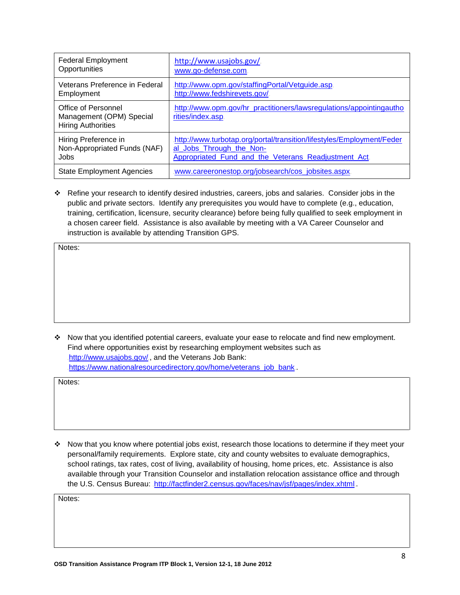| <b>Federal Employment</b>                                                    | http://www.usajobs.gov/                                                                  |
|------------------------------------------------------------------------------|------------------------------------------------------------------------------------------|
| Opportunities                                                                | www.go-defense.com                                                                       |
| Veterans Preference in Federal                                               | http://www.opm.gov/staffingPortal/Vetguide.asp.                                          |
| Employment                                                                   | http://www.fedshirevets.gov/                                                             |
| Office of Personnel<br>Management (OPM) Special<br><b>Hiring Authorities</b> | http://www.opm.gov/hr_practitioners/lawsregulations/appointingautho<br>rities/index.asp. |
| Hiring Preference in                                                         | http://www.turbotap.org/portal/transition/lifestyles/Employment/Feder                    |
| Non-Appropriated Funds (NAF)                                                 | al_Jobs_Through_the_Non-                                                                 |
| Jobs                                                                         | Appropriated_Fund_and_the_Veterans_Readjustment_Act.                                     |
| <b>State Employment Agencies</b>                                             | www.careeronestop.org/jobsearch/cos_jobsites.aspx                                        |

 Refine your research to identify desired industries, careers, jobs and salaries. Consider jobs in the public and private sectors. Identify any prerequisites you would have to complete (e.g., education, training, certification, licensure, security clearance) before being fully qualified to seek employment in a chosen career field. Assistance is also available by meeting with a VA Career Counselor and instruction is available by attending Transition GPS.

Notes:

 Now that you identified potential careers, evaluate your ease to relocate and find new employment. Find where opportunities exist by researching employment websites such as <http://www.usajobs.gov/>., and the Veterans Job Bank: [https://www.nationalresourcedirectory.gov/home/veterans\\_job\\_bank](https://www.nationalresourcedirectory.gov/home/veterans_job_bank)...

Notes:

 $\cdot$  Now that you know where potential jobs exist, research those locations to determine if they meet your personal/family requirements. Explore state, city and county websites to evaluate demographics, school ratings, tax rates, cost of living, availability of housing, home prices, etc. Assistance is also available through your Transition Counselor and installation relocation assistance office and through the U.S. Census Bureau: <http://factfinder2.census.gov/faces/nav/jsf/pages/index.xhtml>.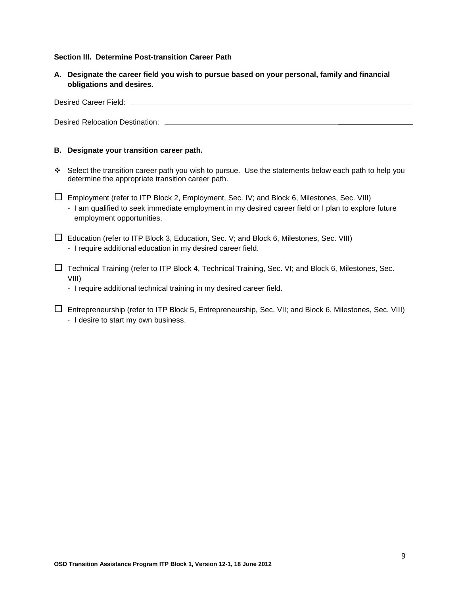### **Section III. Determine Post-transition Career Path**

**A. Designate the career field you wish to pursue based on your personal, family and financial obligations and desires.**

Desired Career Field:

Desired Relocation Destination:

### **B. Designate your transition career path.**

- Select the transition career path you wish to pursue. Use the statements below each path to help you determine the appropriate transition career path.
- $\square$  Employment (refer to ITP Block 2, Employment, Sec. IV; and Block 6, Milestones, Sec. VIII) - I am qualified to seek immediate employment in my desired career field or I plan to explore future employment opportunities.
- $\Box$  Education (refer to ITP Block 3, Education, Sec. V; and Block 6, Milestones, Sec. VIII) - I require additional education in my desired career field.
- $\Box$  Technical Training (refer to ITP Block 4, Technical Training, Sec. VI; and Block 6, Milestones, Sec. VIII)

- I require additional technical training in my desired career field.

 $\Box$  Entrepreneurship (refer to ITP Block 5, Entrepreneurship, Sec. VII; and Block 6, Milestones, Sec. VIII) - I desire to start my own business.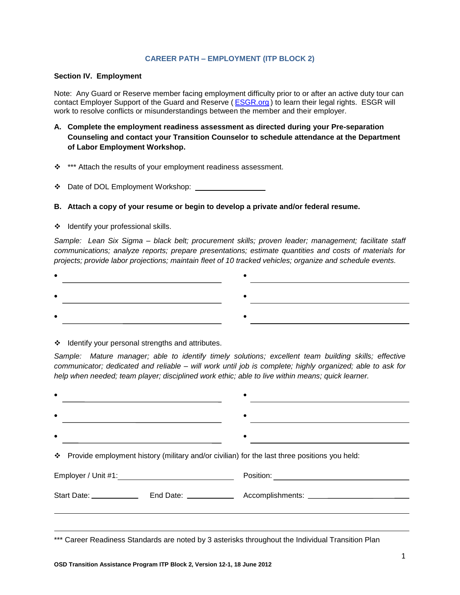#### **CAREER PATH – EMPLOYMENT (ITP BLOCK 2)**

#### **Section IV. Employment**

Note: Any Guard or Reserve member facing employment difficulty prior to or after an active duty tour can contact Employer Support of the Guard and Reserve (**[ESGR.org](file:///C:/Documents%20and%20Settings/crispm.CPMSHQ/My%20Documents/ITP/ESGR.org)**) to learn their legal rights. ESGR will work to resolve conflicts or misunderstandings between the member and their employer.

- **A. Complete the employment readiness assessment as directed during your Pre-separation Counseling and contact your Transition Counselor to schedule attendance at the Department of Labor Employment Workshop.**
- \* \*\*\* Attach the results of your employment readiness assessment.
- ❖ Date of DOL Employment Workshop:
- **B. Attach a copy of your resume or begin to develop a private and/or federal resume.**
- ❖ Identify your professional skills.

*Sample: Lean Six Sigma – black belt; procurement skills; proven leader; management; facilitate staff communications; analyze reports; prepare presentations; estimate quantities and costs of materials for projects; provide labor projections; maintain fleet of 10 tracked vehicles; organize and schedule events.*

❖ Identify your personal strengths and attributes.

*Sample: Mature manager; able to identify timely solutions; excellent team building skills; effective communicator; dedicated and reliable – will work until job is complete; highly organized; able to ask for help when needed; team player; disciplined work ethic; able to live within means; quick learner.* 

| $\bullet$                                                                                         |  |
|---------------------------------------------------------------------------------------------------|--|
| $\bullet$                                                                                         |  |
| * Provide employment history (military and/or civilian) for the last three positions you held:    |  |
|                                                                                                   |  |
|                                                                                                   |  |
|                                                                                                   |  |
| *** Career Readiness Standards are noted by 3 asterisks throughout the Individual Transition Plan |  |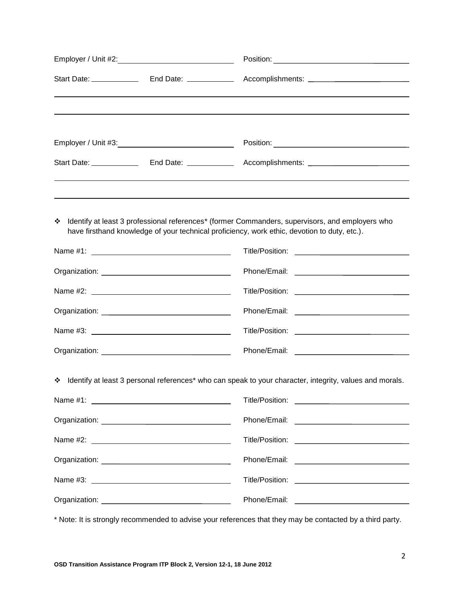| ❖<br>have firsthand knowledge of your technical proficiency, work ethic, devotion to duty, etc.). | Identify at least 3 professional references* (former Commanders, supervisors, and employers who           |  |  |
|---------------------------------------------------------------------------------------------------|-----------------------------------------------------------------------------------------------------------|--|--|
|                                                                                                   |                                                                                                           |  |  |
|                                                                                                   |                                                                                                           |  |  |
|                                                                                                   |                                                                                                           |  |  |
|                                                                                                   |                                                                                                           |  |  |
|                                                                                                   |                                                                                                           |  |  |
|                                                                                                   |                                                                                                           |  |  |
|                                                                                                   | * Identify at least 3 personal references* who can speak to your character, integrity, values and morals. |  |  |
|                                                                                                   |                                                                                                           |  |  |
|                                                                                                   |                                                                                                           |  |  |
|                                                                                                   |                                                                                                           |  |  |
|                                                                                                   |                                                                                                           |  |  |
|                                                                                                   |                                                                                                           |  |  |
|                                                                                                   | Phone/Email: _________________________________                                                            |  |  |

\* Note: It is strongly recommended to advise your references that they may be contacted by a third party.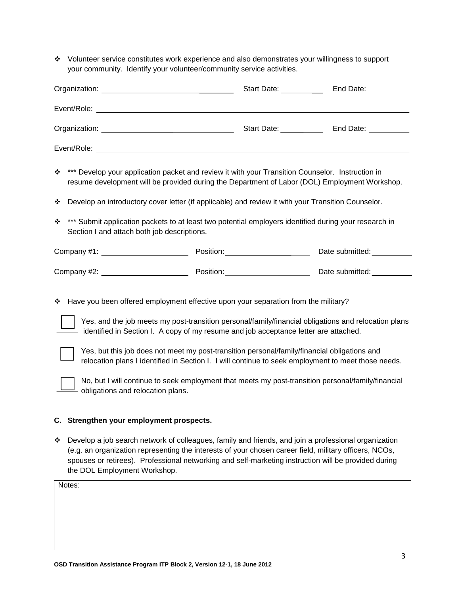Volunteer service constitutes work experience and also demonstrates your willingness to support your community. Identify your volunteer/community service activities.

| * *** Develop your application packet and review it with your Transition Counselor. Instruction in<br>resume development will be provided during the Department of Labor (DOL) Employment Workshop.                                                                                                                        |  |  |  |  |
|----------------------------------------------------------------------------------------------------------------------------------------------------------------------------------------------------------------------------------------------------------------------------------------------------------------------------|--|--|--|--|
| ❖ Develop an introductory cover letter (if applicable) and review it with your Transition Counselor.                                                                                                                                                                                                                       |  |  |  |  |
| **** Submit application packets to at least two potential employers identified during your research in<br>Section I and attach both job descriptions.                                                                                                                                                                      |  |  |  |  |
|                                                                                                                                                                                                                                                                                                                            |  |  |  |  |
|                                                                                                                                                                                                                                                                                                                            |  |  |  |  |
| * Have you been offered employment effective upon your separation from the military?<br>. After the distribution of the contraction of the contract of $\mathcal{P}$ , and the distribution of the contract of the contract of the contract of the contract of the contract of the contract of the contract of the contrac |  |  |  |  |

Yes, and the job meets my post-transition personal/family/financial obligations and relocation plans identified in Section I. A copy of my resume and job acceptance letter are attached.



Yes, but this job does not meet my post-transition personal/family/financial obligations and relocation plans I identified in Section I. I will continue to seek employment to meet those needs.



No, but I will continue to seek employment that meets my post-transition personal/family/financial obligations and relocation plans.

### **C. Strengthen your employment prospects.**

 Develop a job search network of colleagues, family and friends, and join a professional organization (e.g. an organization representing the interests of your chosen career field, military officers, NCOs, spouses or retirees). Professional networking and self-marketing instruction will be provided during the DOL Employment Workshop.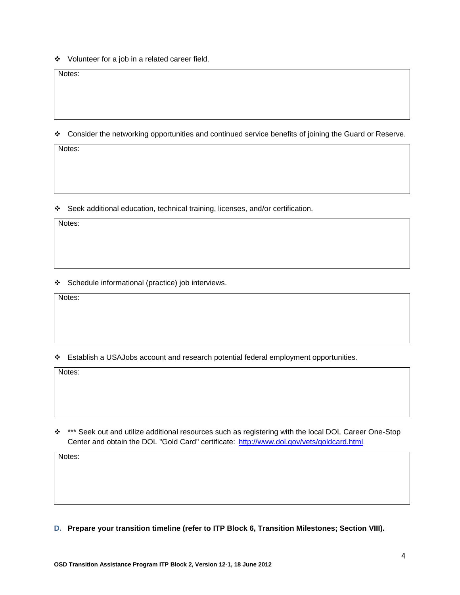Volunteer for a job in a related career field.

Notes:

Consider the networking opportunities and continued service benefits of joining the Guard or Reserve.

Notes:

Seek additional education, technical training, licenses, and/or certification.

Notes:

Schedule informational (practice) job interviews.

Notes:

Establish a USAJobs account and research potential federal employment opportunities.

Notes:

\*\*\*\* Seek out and utilize additional resources such as registering with the local DOL Career One-Stop Center and obtain the DOL "Gold Card" certificate: <http://www.dol.gov/vets/goldcard.html>.

Notes:

**D. Prepare your transition timeline (refer to ITP Block 6, Transition Milestones; Section VIII).**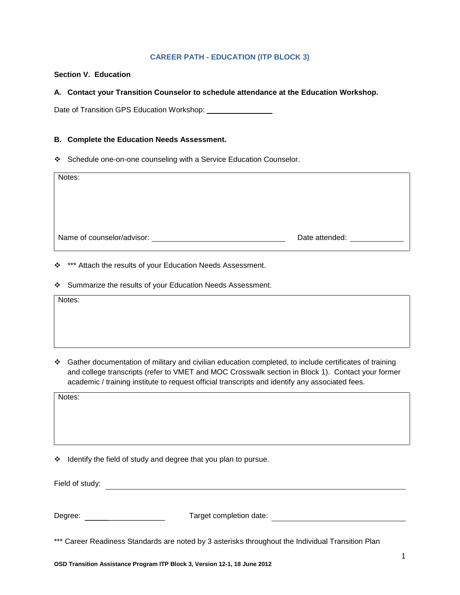### **CAREER PATH - EDUCATION (ITP BLOCK 3)**

## **Section V. Education**

### **A. Contact your Transition Counselor to schedule attendance at the Education Workshop.**

Date of Transition GPS Education Workshop: \_\_\_\_\_\_\_\_\_\_\_\_\_\_\_\_

#### **B. Complete the Education Needs Assessment.**

Schedule one-on-one counseling with a Service Education Counselor.

| Notes:                                                |                                                                                                                                                                                                                                |
|-------------------------------------------------------|--------------------------------------------------------------------------------------------------------------------------------------------------------------------------------------------------------------------------------|
| Name of counselor/advisor: Name of counselor/advisor: | Date attended: Note that the state of the state of the state of the state of the state of the state of the state of the state of the state of the state of the state of the state of the state of the state of the state of th |

\* \*\*\* Attach the results of your Education Needs Assessment.

Summarize the results of your Education Needs Assessment.

Notes:

 Gather documentation of military and civilian education completed, to include certificates of training and college transcripts (refer to VMET and MOC Crosswalk section in Block 1). Contact your former academic / training institute to request official transcripts and identify any associated fees.

Notes:

 $\div$  Identify the field of study and degree that you plan to pursue.

Field of study:

| Degree: | Target completion date: |
|---------|-------------------------|
|         |                         |

\*\*\* Career Readiness Standards are noted by 3 asterisks throughout the Individual Transition Plan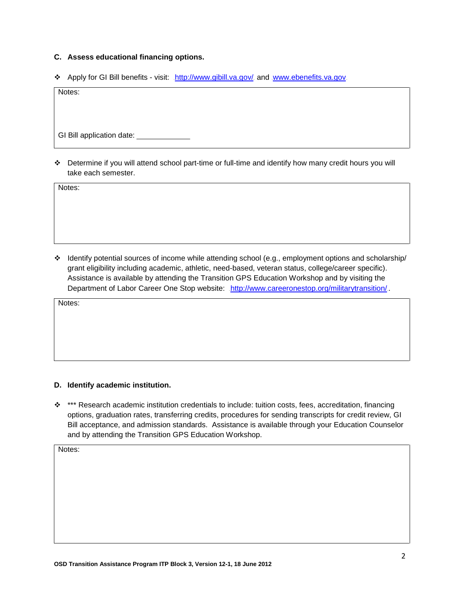## **C. Assess educational financing options.**

Apply for GI Bill benefits - visit: <http://www.gibill.va.gov/>and [www.ebenefits.va.gov](http://www.ebenefits.va.gov/)

Notes:

GI Bill application date: \_\_\_\_\_\_\_\_\_\_\_\_\_

 Determine if you will attend school part-time or full-time and identify how many credit hours you will take each semester.

Notes:

 Identify potential sources of income while attending school (e.g., employment options and scholarship/ grant eligibility including academic, athletic, need-based, veteran status, college/career specific). Assistance is available by attending the Transition GPS Education Workshop and by visiting the Department of Labor Career One Stop website: <http://www.careeronestop.org/militarytransition/>

Notes:

#### **D. Identify academic institution.**

 \*\*\* Research academic institution credentials to include: tuition costs, fees, accreditation, financing options, graduation rates, transferring credits, procedures for sending transcripts for credit review, GI Bill acceptance, and admission standards. Assistance is available through your Education Counselor and by attending the Transition GPS Education Workshop.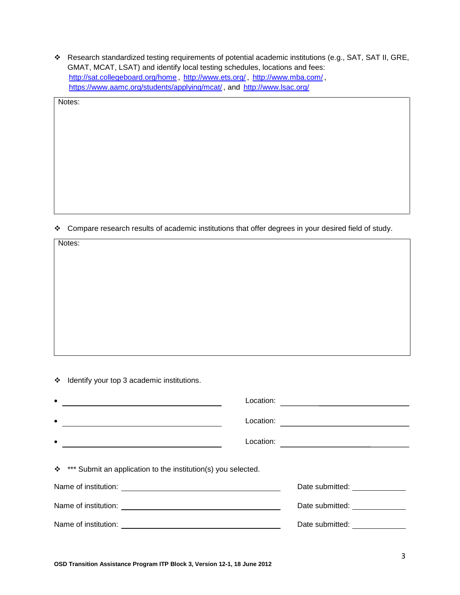Research standardized testing requirements of potential academic institutions (e.g., SAT, SAT II, GRE, GMAT, MCAT, LSAT) and identify local testing schedules, locations and fees: .<http://sat.collegeboard.org/home>., .<http://www.ets.org/>., .<http://www.mba.com/>., <https://www.aamc.org/students/applying/mcat/>., and .<http://www.lsac.org/>.

Notes:

Notes:

\* Compare research results of academic institutions that offer degrees in your desired field of study.

\* Identify your top 3 academic institutions.

| $\bullet$                                                                                                                                   | Location: |                                                     |
|---------------------------------------------------------------------------------------------------------------------------------------------|-----------|-----------------------------------------------------|
| $\bullet$                                                                                                                                   | Location: |                                                     |
| $\bullet$                                                                                                                                   | Location: |                                                     |
| **** Submit an application to the institution(s) you selected.<br>Name of institution:<br><u> 1989 - Johann Barbara, martxa alemaniar a</u> |           | Date submitted: Date submitted:                     |
|                                                                                                                                             |           | Date submitted: Note that the submitted:            |
| Name of institution:<br>and the control of the control of the control of the control of the control of the control of the control of the    |           | Date submitted: Note that the submitted of the sub- |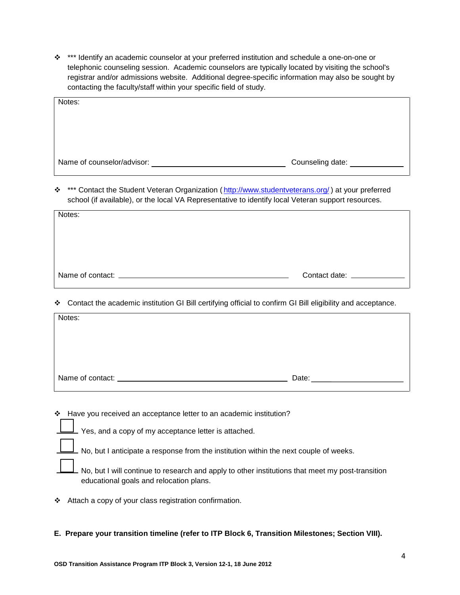\*\*\* Identify an academic counselor at your preferred institution and schedule a one-on-one or telephonic counseling session. Academic counselors are typically located by visiting the school's registrar and/or admissions website. Additional degree-specific information may also be sought by contacting the faculty/staff within your specific field of study.

| Notes:                     |                  |
|----------------------------|------------------|
|                            |                  |
|                            |                  |
|                            |                  |
| Name of counselor/advisor: | Counseling date: |

\* \*\*\* Contact the Student Veteran Organization (*<http://www.studentveterans.org/>)* at your preferred school (if available), or the local VA Representative to identify local Veteran support resources.

| Notes: |  |
|--------|--|
|        |  |
|        |  |
|        |  |
|        |  |

Contact the academic institution GI Bill certifying official to confirm GI Bill eligibility and acceptance.

| Notes: |       |
|--------|-------|
|        |       |
|        |       |
|        |       |
|        | Date: |

Have you received an acceptance letter to an academic institution?

Yes, and a copy of my acceptance letter is attached.

No, but I anticipate a response from the institution within the next couple of weeks.

No, but I will continue to research and apply to other institutions that meet my post-transition educational goals and relocation plans.

Attach a copy of your class registration confirmation.

## **E. Prepare your transition timeline (refer to ITP Block 6, Transition Milestones; Section VIII).**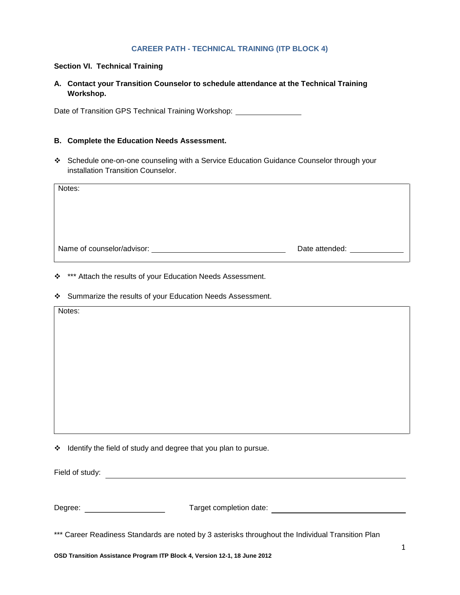## **CAREER PATH - TECHNICAL TRAINING (ITP BLOCK 4)**

## **Section VI. Technical Training**

## **A. Contact your Transition Counselor to schedule attendance at the Technical Training Workshop.**

Date of Transition GPS Technical Training Workshop: \_\_\_\_\_\_\_\_\_\_\_\_\_\_\_\_\_\_\_\_\_\_\_\_\_\_\_\_

## **B. Complete the Education Needs Assessment.**

 Schedule one-on-one counseling with a Service Education Guidance Counselor through your installation Transition Counselor.

| Notes: |                                                                                                                                                                                                                                |
|--------|--------------------------------------------------------------------------------------------------------------------------------------------------------------------------------------------------------------------------------|
|        | Date attended: Note that the state of the state of the state of the state of the state of the state of the state of the state of the state of the state of the state of the state of the state of the state of the state of th |

- \* \*\*\* Attach the results of your Education Needs Assessment.
- Summarize the results of your Education Needs Assessment.

| Notes:                                                                                            |   |
|---------------------------------------------------------------------------------------------------|---|
|                                                                                                   |   |
|                                                                                                   |   |
|                                                                                                   |   |
|                                                                                                   |   |
|                                                                                                   |   |
|                                                                                                   |   |
|                                                                                                   |   |
| * Identify the field of study and degree that you plan to pursue.                                 |   |
|                                                                                                   |   |
|                                                                                                   |   |
| Degree: Degree:<br>Target completion date:                                                        |   |
| *** Career Readiness Standards are noted by 3 asterisks throughout the Individual Transition Plan |   |
| OSD Transition Assistance Program ITP Block 4, Version 12-1, 18 June 2012                         | 1 |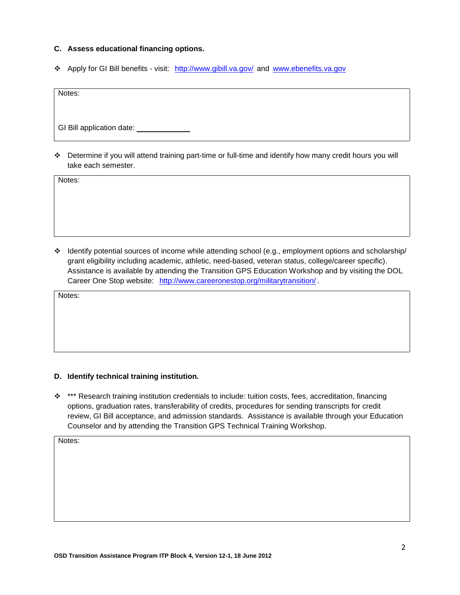## **C. Assess educational financing options.**

Apply for GI Bill benefits - visit: <http://www.gibill.va.gov/> and [www.ebenefits.va.gov](http://www.ebenefits.va.gov/).

Notes:

GI Bill application date: \_\_\_\_\_\_\_\_\_\_\_\_\_

 Determine if you will attend training part-time or full-time and identify how many credit hours you will take each semester.

Notes:

 Identify potential sources of income while attending school (e.g., employment options and scholarship/ grant eligibility including academic, athletic, need-based, veteran status, college/career specific). Assistance is available by attending the Transition GPS Education Workshop and by visiting the DOL Career One Stop website: <http://www.careeronestop.org/militarytransition/>

Notes:

### **D. Identify technical training institution.**

\* \*\*\* Research training institution credentials to include: tuition costs, fees, accreditation, financing options, graduation rates, transferability of credits, procedures for sending transcripts for credit review, GI Bill acceptance, and admission standards. Assistance is available through your Education Counselor and by attending the Transition GPS Technical Training Workshop.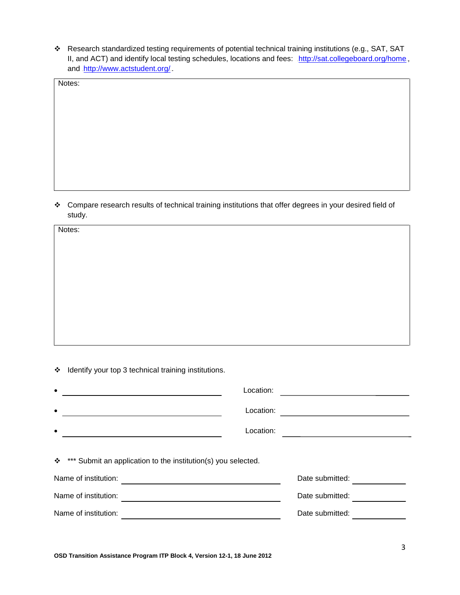Research standardized testing requirements of potential technical training institutions (e.g., SAT, SAT II, and ACT) and identify local testing schedules, locations and fees: <http://sat.collegeboard.org/home>. and .<http://www.actstudent.org/>

Notes:

 Compare research results of technical training institutions that offer degrees in your desired field of study.

Notes:

\* Identify your top 3 technical training institutions.

| $\bullet$                                                      | Location: |                 |  |
|----------------------------------------------------------------|-----------|-----------------|--|
| $\bullet$                                                      | Location: |                 |  |
| $\bullet$                                                      | Location: |                 |  |
| **** Submit an application to the institution(s) you selected. |           |                 |  |
| Name of institution:                                           |           | Date submitted: |  |
| Name of institution:                                           |           | Date submitted: |  |
| Name of institution:                                           |           | Date submitted: |  |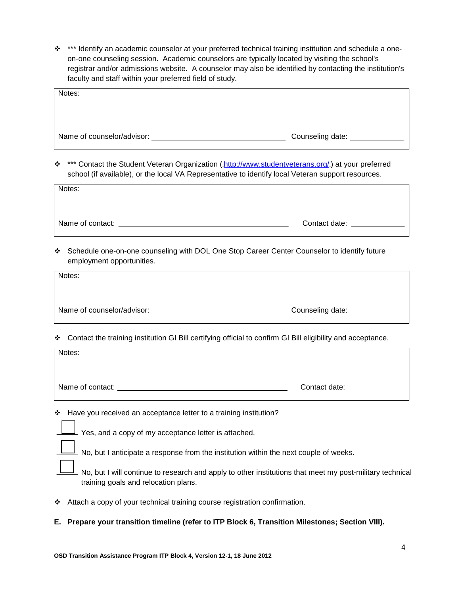\*\*\* Identify an academic counselor at your preferred technical training institution and schedule a oneon-one counseling session. Academic counselors are typically located by visiting the school's registrar and/or admissions website. A counselor may also be identified by contacting the institution's faculty and staff within your preferred field of study.

| Notes:                                                                                                                                                                                                      |                              |  |  |
|-------------------------------------------------------------------------------------------------------------------------------------------------------------------------------------------------------------|------------------------------|--|--|
| Name of counselor/advisor:                                                                                                                                                                                  | Counseling date: ___________ |  |  |
| *** Contact the Student Veteran Organization (http://www.studentveterans.org/) at your preferred<br>❖<br>school (if available), or the local VA Representative to identify local Veteran support resources. |                              |  |  |
| Notes:                                                                                                                                                                                                      |                              |  |  |
| Name of contact:                                                                                                                                                                                            | Contact date: ____           |  |  |

 Schedule one-on-one counseling with DOL One Stop Career Center Counselor to identify future employment opportunities.

| Notes:                     |                    |
|----------------------------|--------------------|
| Name of counselor/advisor: | Counseling date: _ |

Contact the training institution GI Bill certifying official to confirm GI Bill eligibility and acceptance.

| Notes: |               |
|--------|---------------|
|        |               |
|        | Contact date: |

Have you received an acceptance letter to a training institution?

| $\Box$ Yes, and a copy of my acceptance letter is attached.                                                                                      |
|--------------------------------------------------------------------------------------------------------------------------------------------------|
| No, but I anticipate a response from the institution within the next couple of weeks.                                                            |
| No, but I will continue to research and apply to other institutions that meet my post-military technical<br>training goals and relocation plans. |

- Attach a copy of your technical training course registration confirmation.
- **E. Prepare your transition timeline (refer to ITP Block 6, Transition Milestones; Section VIII).**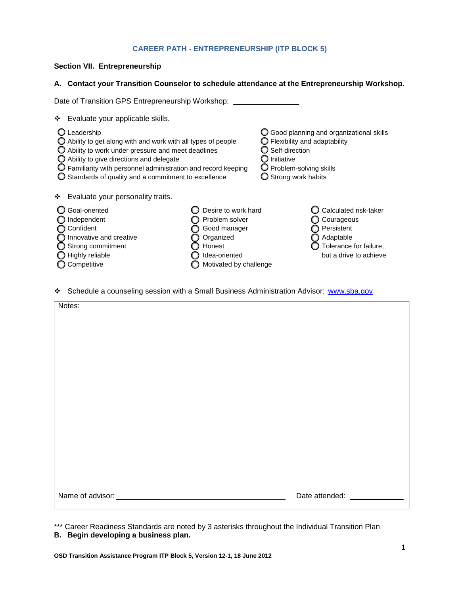## **CAREER PATH - ENTREPRENEURSHIP (ITP BLOCK 5)**

## **Section VII. Entrepreneurship**

### **A. Contact your Transition Counselor to schedule attendance at the Entrepreneurship Workshop.**

| Date of Transition GPS Entrepreneurship Workshop:                                                                                                                                                                                                                                                                                                       |                                                                                                                         |                                                                                                                                                                         |                                                                                                                    |
|---------------------------------------------------------------------------------------------------------------------------------------------------------------------------------------------------------------------------------------------------------------------------------------------------------------------------------------------------------|-------------------------------------------------------------------------------------------------------------------------|-------------------------------------------------------------------------------------------------------------------------------------------------------------------------|--------------------------------------------------------------------------------------------------------------------|
| Evaluate your applicable skills.<br>❖                                                                                                                                                                                                                                                                                                                   |                                                                                                                         |                                                                                                                                                                         |                                                                                                                    |
| Leadership<br>$\bigcirc$ Ability to get along with and work with all types of people<br>$\bigcirc$ Ability to work under pressure and meet deadlines<br>$\bigcirc$ Ability to give directions and delegate<br>$\bigcirc$ Familiarity with personnel administration and record keeping<br>$\bigcirc$ Standards of quality and a commitment to excellence |                                                                                                                         | $\bigcirc$ Flexibility and adaptability<br>$\bigcirc$ Self-direction<br>$\bm{\bigcirc}$ Initiative<br>$\bigcup$ Problem-solving skills<br>$\bigcirc$ Strong work habits | ◯ Good planning and organizational skills                                                                          |
| Evaluate your personality traits.<br>❖                                                                                                                                                                                                                                                                                                                  |                                                                                                                         |                                                                                                                                                                         |                                                                                                                    |
| Goal-oriented<br>Independent<br>Confident<br>Innovative and creative<br>Strong commitment<br>Highly reliable<br>Competitive                                                                                                                                                                                                                             | Desire to work hard<br>Problem solver<br>Good manager<br>Organized<br>Honest<br>Idea-oriented<br>Motivated by challenge |                                                                                                                                                                         | Calculated risk-taker<br>Courageous<br>Persistent<br>Adaptable<br>Tolerance for failure,<br>but a drive to achieve |

Schedule a counseling session with a Small Business Administration Advisor: [www.sba.gov](http://www.sba.gov/).

| Notes: |                              |
|--------|------------------------------|
|        |                              |
|        |                              |
|        |                              |
|        |                              |
|        |                              |
|        |                              |
|        |                              |
|        |                              |
|        | Date attended: _____________ |

\*\*\* Career Readiness Standards are noted by 3 asterisks throughout the Individual Transition Plan **B. Begin developing a business plan.**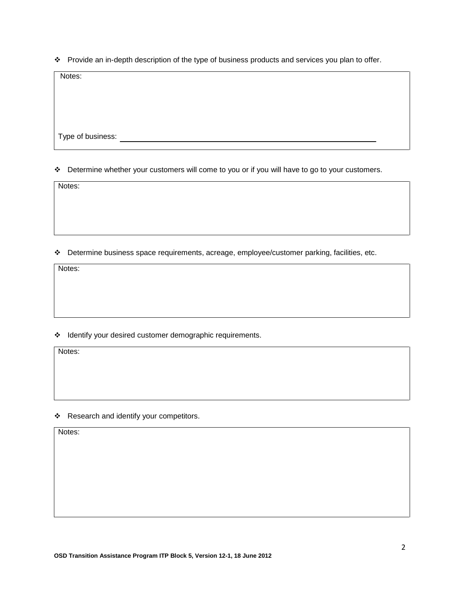\* Provide an in-depth description of the type of business products and services you plan to offer.

Notes:

Type of business:

## \* Determine whether your customers will come to you or if you will have to go to your customers.

Notes:

Determine business space requirements, acreage, employee/customer parking, facilities, etc.

Notes:

\* Identify your desired customer demographic requirements.

Notes:

\* Research and identify your competitors.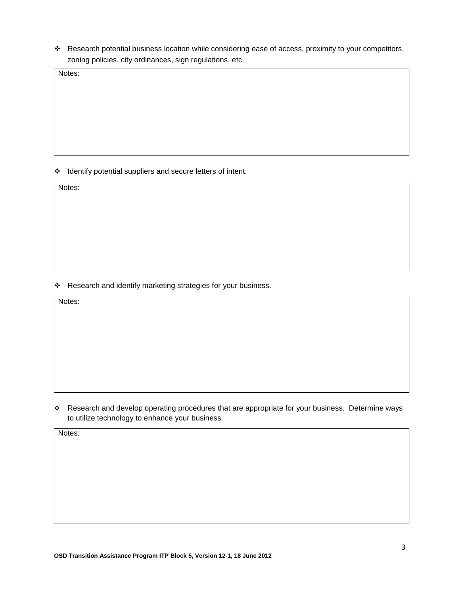\* Research potential business location while considering ease of access, proximity to your competitors, zoning policies, city ordinances, sign regulations, etc.

Notes:

 $\triangleleft$  Identify potential suppliers and secure letters of intent.

Notes:

\* Research and identify marketing strategies for your business.

Notes:

\* Research and develop operating procedures that are appropriate for your business. Determine ways to utilize technology to enhance your business.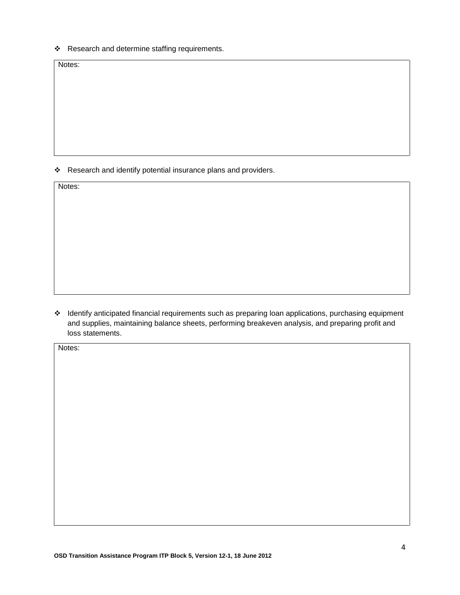\* Research and determine staffing requirements.

Notes:

\* Research and identify potential insurance plans and providers.

Notes:

\* Identify anticipated financial requirements such as preparing loan applications, purchasing equipment and supplies, maintaining balance sheets, performing breakeven analysis, and preparing profit and loss statements.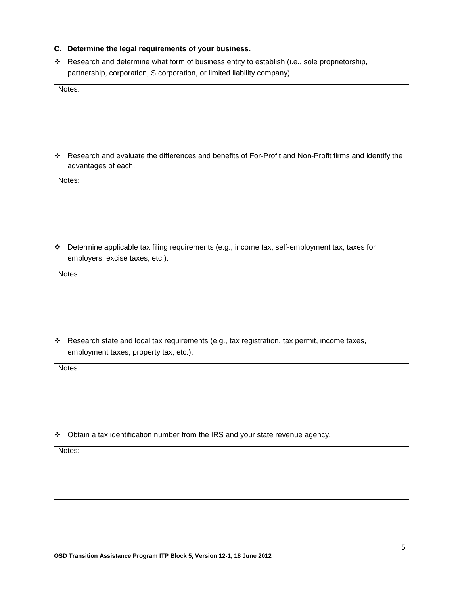- **C. Determine the legal requirements of your business.**
- \* Research and determine what form of business entity to establish (i.e., sole proprietorship, partnership, corporation, S corporation, or limited liability company).

Notes:

 Research and evaluate the differences and benefits of For-Profit and Non-Profit firms and identify the advantages of each.

Notes:

 Determine applicable tax filing requirements (e.g., income tax, self-employment tax, taxes for employers, excise taxes, etc.).

Notes:

\* Research state and local tax requirements (e.g., tax registration, tax permit, income taxes, employment taxes, property tax, etc.).

Notes:

Obtain a tax identification number from the IRS and your state revenue agency.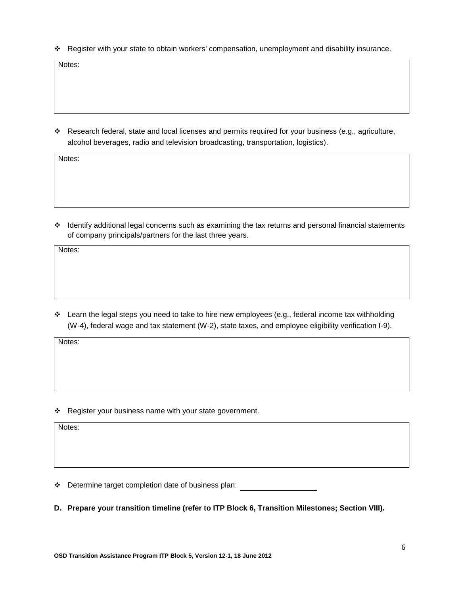Register with your state to obtain workers' compensation, unemployment and disability insurance.

Notes:

 Research federal, state and local licenses and permits required for your business (e.g., agriculture, alcohol beverages, radio and television broadcasting, transportation, logistics).

Notes:

 Identify additional legal concerns such as examining the tax returns and personal financial statements of company principals/partners for the last three years.

Notes:

 $\div$  Learn the legal steps you need to take to hire new employees (e.g., federal income tax withholding (W-4), federal wage and tax statement (W-2), state taxes, and employee eligibility verification I-9).

Notes:

\* Register your business name with your state government.

Notes:

Determine target completion date of business plan:

**D. Prepare your transition timeline (refer to ITP Block 6, Transition Milestones; Section VIII).**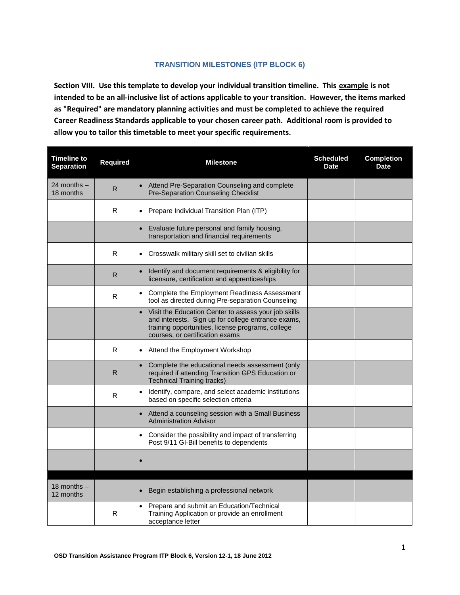## **TRANSITION MILESTONES (ITP BLOCK 6)**

**Section VIII. Use this template to develop your individual transition timeline. This example is not intended to be an all-inclusive list of actions applicable to your transition. However, the items marked as "Required" are mandatory planning activities and must be completed to achieve the required Career Readiness Standards applicable to your chosen career path. Additional room is provided to allow you to tailor this timetable to meet your specific requirements.**

| <b>Timeline to</b><br><b>Separation</b> | <b>Required</b> | <b>Milestone</b>                                                                                                                                                                                   | <b>Scheduled</b><br><b>Date</b> | <b>Completion</b><br><b>Date</b> |
|-----------------------------------------|-----------------|----------------------------------------------------------------------------------------------------------------------------------------------------------------------------------------------------|---------------------------------|----------------------------------|
| 24 months –<br>18 months                | $\mathsf{R}$    | Attend Pre-Separation Counseling and complete<br><b>Pre-Separation Counseling Checklist</b>                                                                                                        |                                 |                                  |
|                                         | R               | Prepare Individual Transition Plan (ITP)<br>$\bullet$                                                                                                                                              |                                 |                                  |
|                                         |                 | Evaluate future personal and family housing,<br>transportation and financial requirements                                                                                                          |                                 |                                  |
|                                         | R               | Crosswalk military skill set to civilian skills<br>$\bullet$                                                                                                                                       |                                 |                                  |
|                                         | R.              | Identify and document requirements & eligibility for<br>$\bullet$<br>licensure, certification and apprenticeships                                                                                  |                                 |                                  |
|                                         | R               | • Complete the Employment Readiness Assessment<br>tool as directed during Pre-separation Counseling                                                                                                |                                 |                                  |
|                                         |                 | Visit the Education Center to assess your job skills<br>and interests. Sign up for college entrance exams,<br>training opportunities, license programs, college<br>courses, or certification exams |                                 |                                  |
|                                         | R               | Attend the Employment Workshop                                                                                                                                                                     |                                 |                                  |
|                                         | R.              | Complete the educational needs assessment (only<br>$\bullet$<br>required if attending Transition GPS Education or<br><b>Technical Training tracks)</b>                                             |                                 |                                  |
|                                         | R               | Identify, compare, and select academic institutions<br>$\bullet$<br>based on specific selection criteria                                                                                           |                                 |                                  |
|                                         |                 | Attend a counseling session with a Small Business<br>$\bullet$<br><b>Administration Advisor</b>                                                                                                    |                                 |                                  |
|                                         |                 | Consider the possibility and impact of transferring<br>$\bullet$<br>Post 9/11 GI-Bill benefits to dependents                                                                                       |                                 |                                  |
|                                         |                 |                                                                                                                                                                                                    |                                 |                                  |
| 18 months $-$<br>12 months              |                 | Begin establishing a professional network                                                                                                                                                          |                                 |                                  |
|                                         | R               | Prepare and submit an Education/Technical<br>Training Application or provide an enrollment<br>acceptance letter                                                                                    |                                 |                                  |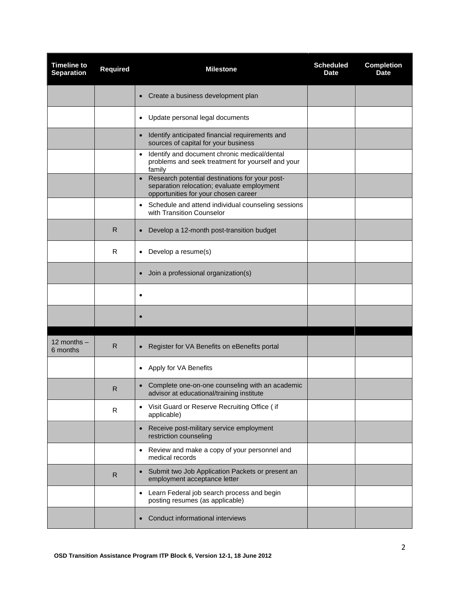| <b>Timeline to</b><br><b>Separation</b> | <b>Required</b> | <b>Milestone</b>                                                                                                                                  | <b>Scheduled</b><br><b>Date</b> | <b>Completion</b><br><b>Date</b> |
|-----------------------------------------|-----------------|---------------------------------------------------------------------------------------------------------------------------------------------------|---------------------------------|----------------------------------|
|                                         |                 | Create a business development plan<br>$\bullet$                                                                                                   |                                 |                                  |
|                                         |                 | Update personal legal documents<br>$\bullet$                                                                                                      |                                 |                                  |
|                                         |                 | Identify anticipated financial requirements and<br>$\bullet$<br>sources of capital for your business                                              |                                 |                                  |
|                                         |                 | Identify and document chronic medical/dental<br>$\bullet$<br>problems and seek treatment for yourself and your<br>family                          |                                 |                                  |
|                                         |                 | Research potential destinations for your post-<br>$\bullet$<br>separation relocation; evaluate employment<br>opportunities for your chosen career |                                 |                                  |
|                                         |                 | Schedule and attend individual counseling sessions<br>$\bullet$<br>with Transition Counselor                                                      |                                 |                                  |
|                                         | R               | Develop a 12-month post-transition budget<br>$\bullet$                                                                                            |                                 |                                  |
|                                         | R               | Develop a resume(s)<br>$\bullet$                                                                                                                  |                                 |                                  |
|                                         |                 | Join a professional organization(s)                                                                                                               |                                 |                                  |
|                                         |                 | $\bullet$                                                                                                                                         |                                 |                                  |
|                                         |                 | $\bullet$                                                                                                                                         |                                 |                                  |
| 12 months $-$<br>6 months               | R               | Register for VA Benefits on eBenefits portal<br>$\bullet$                                                                                         |                                 |                                  |
|                                         |                 | Apply for VA Benefits<br>$\bullet$                                                                                                                |                                 |                                  |
|                                         | R               | Complete one-on-one counseling with an academic<br>$\bullet$<br>advisor at educational/training institute                                         |                                 |                                  |
|                                         | R               | Visit Guard or Reserve Recruiting Office (if<br>$\bullet$<br>applicable)                                                                          |                                 |                                  |
|                                         |                 | Receive post-military service employment<br>$\bullet$<br>restriction counseling                                                                   |                                 |                                  |
|                                         |                 | Review and make a copy of your personnel and<br>$\bullet$<br>medical records                                                                      |                                 |                                  |
|                                         | R               | Submit two Job Application Packets or present an<br>$\bullet$<br>employment acceptance letter                                                     |                                 |                                  |
|                                         |                 | Learn Federal job search process and begin<br>$\bullet$<br>posting resumes (as applicable)                                                        |                                 |                                  |
|                                         |                 | Conduct informational interviews                                                                                                                  |                                 |                                  |